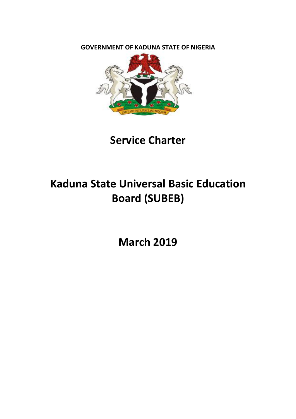**GOVERNMENT OF KADUNA STATE OF NIGERIA** 



**Service Charter** 

# **Kaduna State Universal Basic Education** Board (SUBEB)

**March 2019**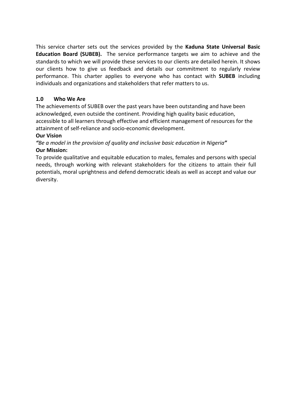This service charter sets out the services provided by the Kaduna State Universal Basic **Education Board (SUBEB).** The service performance targets we aim to achieve and the standards to which we will provide these services to our clients are detailed herein. It shows our clients how to give us feedback and details our commitment to regularly review performance. This charter applies to everyone who has contact with **SUBEB** including individuals and organizations and stakeholders that refer matters to us.

## **1.0 Who We Are**

The achievements of SUBEB over the past years have been outstanding and have been acknowledged, even outside the continent. Providing high quality basic education, accessible to all learners through effective and efficient management of resources for the attainment of self-reliance and socio-economic development.

## **Our Vision**

"Be a model in the provision of quality and inclusive basic education in Nigeria" **Our Mission:** 

To provide qualitative and equitable education to males, females and persons with special needs, through working with relevant stakeholders for the citizens to attain their full potentials, moral uprightness and defend democratic ideals as well as accept and value our diversity.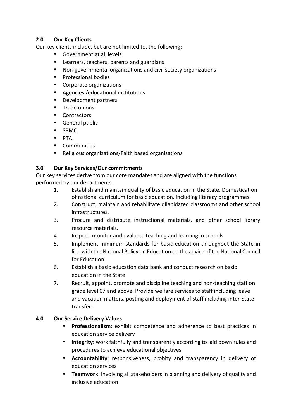## **2.0 Our Key Clients**

Our key clients include, but are not limited to, the following:

- Government at all levels
- Learners, teachers, parents and guardians
- Non-governmental organizations and civil society organizations
- Professional bodies
- Corporate organizations
- Agencies / educational institutions
- Development partners
- Trade unions
- Contractors
- General public
- SBMC
- PTA
- Communities
- Religious organizations/Faith based organisations

## **3.0 Our Key Services/Our commitments**

Our key services derive from our core mandates and are aligned with the functions performed by our departments.

- 1. Establish and maintain quality of basic education in the State. Domestication of national curriculum for basic education, including literacy programmes.
- 2. Construct, maintain and rehabilitate dilapidated classrooms and other school infrastructures.
- 3. Procure and distribute instructional materials, and other school library resource materials.
- 4. Inspect, monitor and evaluate teaching and learning in schools
- 5. Implement minimum standards for basic education throughout the State in line with the National Policy on Education on the advice of the National Council for Education.
- 6. Establish a basic education data bank and conduct research on basic education in the State
- 7. Recruit, appoint, promote and discipline teaching and non-teaching staff on grade level 07 and above. Provide welfare services to staff including leave and vacation matters, posting and deployment of staff including inter-State transfer.

## **4.0 Our Service Delivery Values**

- **Professionalism:** exhibit competence and adherence to best practices in education service delivery
- **Integrity:** work faithfully and transparently according to laid down rules and procedures to achieve educational objectives
- **Accountability**: responsiveness, probity and transparency in delivery of education services
- **Teamwork**: Involving all stakeholders in planning and delivery of quality and inclusive education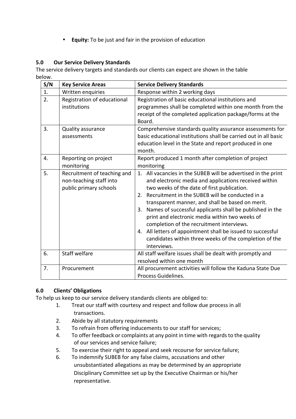• **Equity:** To be just and fair in the provision of education

# **5.0 Our Service Delivery Standards**

The service delivery targets and standards our clients can expect are shown in the table below.

| S/N | <b>Key Service Areas</b>                                                         | <b>Service Delivery Standards</b>                                                                                                                                                                                                                                                                                                                                                                                                                                                                                                                                                        |
|-----|----------------------------------------------------------------------------------|------------------------------------------------------------------------------------------------------------------------------------------------------------------------------------------------------------------------------------------------------------------------------------------------------------------------------------------------------------------------------------------------------------------------------------------------------------------------------------------------------------------------------------------------------------------------------------------|
| 1.  | Written enquiries                                                                | Response within 2 working days                                                                                                                                                                                                                                                                                                                                                                                                                                                                                                                                                           |
| 2.  | Registration of educational<br>institutions                                      | Registration of basic educational institutions and<br>programmes shall be completed within one month from the<br>receipt of the completed application package/forms at the<br>Board.                                                                                                                                                                                                                                                                                                                                                                                                     |
| 3.  | Quality assurance<br>assessments                                                 | Comprehensive standards quality assurance assessments for<br>basic educational institutions shall be carried out in all basic<br>education level in the State and report produced in one<br>month.                                                                                                                                                                                                                                                                                                                                                                                       |
| 4.  | Reporting on project<br>monitoring                                               | Report produced 1 month after completion of project<br>monitoring                                                                                                                                                                                                                                                                                                                                                                                                                                                                                                                        |
| 5.  | Recruitment of teaching and<br>non-teaching staff into<br>public primary schools | 1. All vacancies in the SUBEB will be advertised in the print<br>and electronic media and applications received within<br>two weeks of the date of first publication.<br>2. Recruitment in the SUBEB will be conducted in a<br>transparent manner, and shall be based on merit.<br>Names of successful applicants shall be published in the<br>3.<br>print and electronic media within two weeks of<br>completion of the recruitment interviews.<br>4. All letters of appointment shall be issued to successful<br>candidates within three weeks of the completion of the<br>interviews. |
| 6.  | <b>Staff welfare</b>                                                             | All staff welfare issues shall be dealt with promptly and<br>resolved within one month                                                                                                                                                                                                                                                                                                                                                                                                                                                                                                   |
| 7.  | Procurement                                                                      | All procurement activities will follow the Kaduna State Due<br>Process Guidelines.                                                                                                                                                                                                                                                                                                                                                                                                                                                                                                       |

## **6.0 Clients' Obligations**

To help us keep to our service delivery standards clients are obliged to:

- 1. Treat our staff with courtesy and respect and follow due process in all transactions.
- 2. Abide by all statutory requirements
- 3. To refrain from offering inducements to our staff for services;
- 4. To offer feedback or complaints at any point in time with regards to the quality of our services and service failure;
- 5. To exercise their right to appeal and seek recourse for service failure;
- 6. To indemnify SUBEB for any false claims, accusations and other unsubstantiated allegations as may be determined by an appropriate Disciplinary Committee set up by the Executive Chairman or his/her representative.